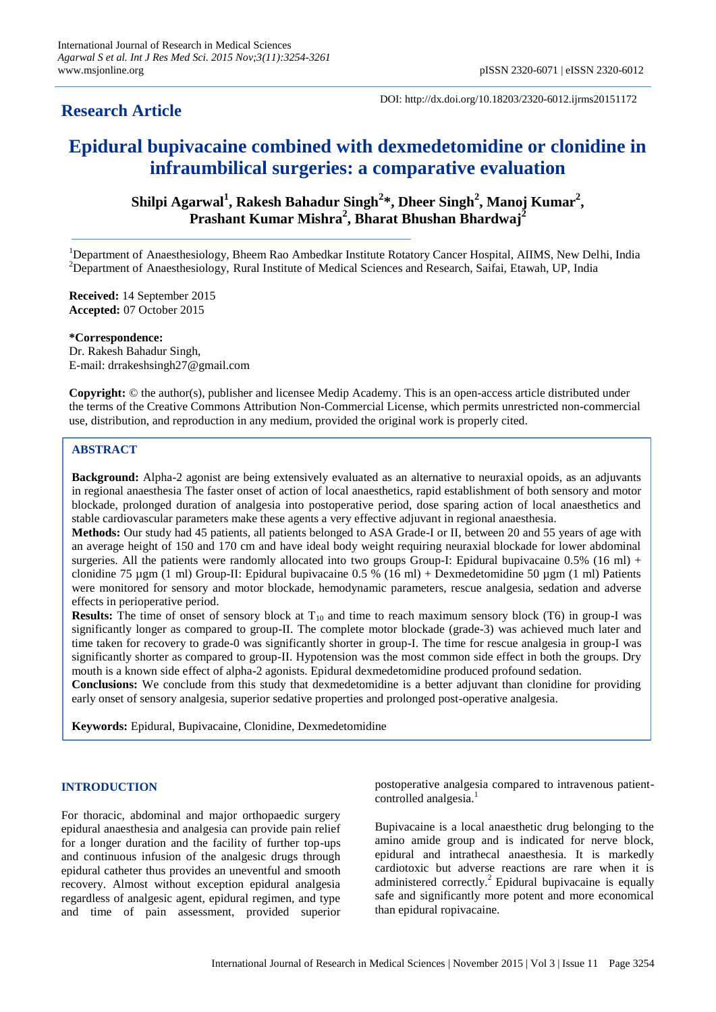## **Research Article**

DOI: http://dx.doi.org/10.18203/2320-6012.ijrms20151172

# **Epidural bupivacaine combined with dexmedetomidine or clonidine in infraumbilical surgeries: a comparative evaluation**

**Shilpi Agarwal<sup>1</sup> , Rakesh Bahadur Singh<sup>2</sup> \*, Dheer Singh<sup>2</sup> , Manoj Kumar<sup>2</sup> , Prashant Kumar Mishra<sup>2</sup> , Bharat Bhushan Bhardwaj<sup>2</sup>**

<sup>1</sup>Department of Anaesthesiology, Bheem Rao Ambedkar Institute Rotatory Cancer Hospital, AIIMS, New Delhi, India <sup>2</sup>Department of Anaesthesiology, Rural Institute of Medical Sciences and Research, Saifai, Etawah, UP, India

**Received:** 14 September 2015 **Accepted:** 07 October 2015

#### **\*Correspondence:**

Dr. Rakesh Bahadur Singh, E-mail: drrakeshsingh27@gmail.com

**Copyright:** © the author(s), publisher and licensee Medip Academy. This is an open-access article distributed under the terms of the Creative Commons Attribution Non-Commercial License, which permits unrestricted non-commercial use, distribution, and reproduction in any medium, provided the original work is properly cited.

## **ABSTRACT**

**Background:** Alpha-2 agonist are being extensively evaluated as an alternative to neuraxial opoids, as an adjuvants in regional anaesthesia The faster onset of action of local anaesthetics, rapid establishment of both sensory and motor blockade, prolonged duration of analgesia into postoperative period, dose sparing action of local anaesthetics and stable cardiovascular parameters make these agents a very effective adjuvant in regional anaesthesia.

**Methods:** Our study had 45 patients, all patients belonged to ASA Grade-I or II, between 20 and 55 years of age with an average height of 150 and 170 cm and have ideal body weight requiring neuraxial blockade for lower abdominal surgeries. All the patients were randomly allocated into two groups Group-I: Epidural bupivacaine  $0.5\%$  (16 ml) + clonidine 75 µgm (1 ml) Group-II: Epidural bupivacaine 0.5 % (16 ml) + Dexmedetomidine 50 µgm (1 ml) Patients were monitored for sensory and motor blockade, hemodynamic parameters, rescue analgesia, sedation and adverse effects in perioperative period.

**Results:** The time of onset of sensory block at  $T_{10}$  and time to reach maximum sensory block (T6) in group-I was significantly longer as compared to group-II. The complete motor blockade (grade-3) was achieved much later and time taken for recovery to grade-0 was significantly shorter in group-I. The time for rescue analgesia in group-I was significantly shorter as compared to group-II. Hypotension was the most common side effect in both the groups. Dry mouth is a known side effect of alpha-2 agonists. Epidural dexmedetomidine produced profound sedation.

**Conclusions:** We conclude from this study that dexmedetomidine is a better adjuvant than clonidine for providing early onset of sensory analgesia, superior sedative properties and prolonged post-operative analgesia.

**Keywords:** Epidural, Bupivacaine, Clonidine, Dexmedetomidine

#### **INTRODUCTION**

For thoracic, abdominal and major orthopaedic surgery epidural anaesthesia and analgesia can provide pain relief for a longer duration and the facility of further top-ups and continuous infusion of the analgesic drugs through epidural catheter thus provides an uneventful and smooth recovery. Almost without exception epidural analgesia regardless of analgesic agent, epidural regimen, and type and time of pain assessment, provided superior

postoperative analgesia compared to intravenous patientcontrolled analgesia.<sup>1</sup>

Bupivacaine is a local anaesthetic drug belonging to the amino amide group and is indicated for nerve block, epidural and intrathecal anaesthesia. It is markedly cardiotoxic but adverse reactions are rare when it is administered correctly. $^{2}$  Epidural bupivacaine is equally safe and significantly more potent and more economical than epidural ropivacaine.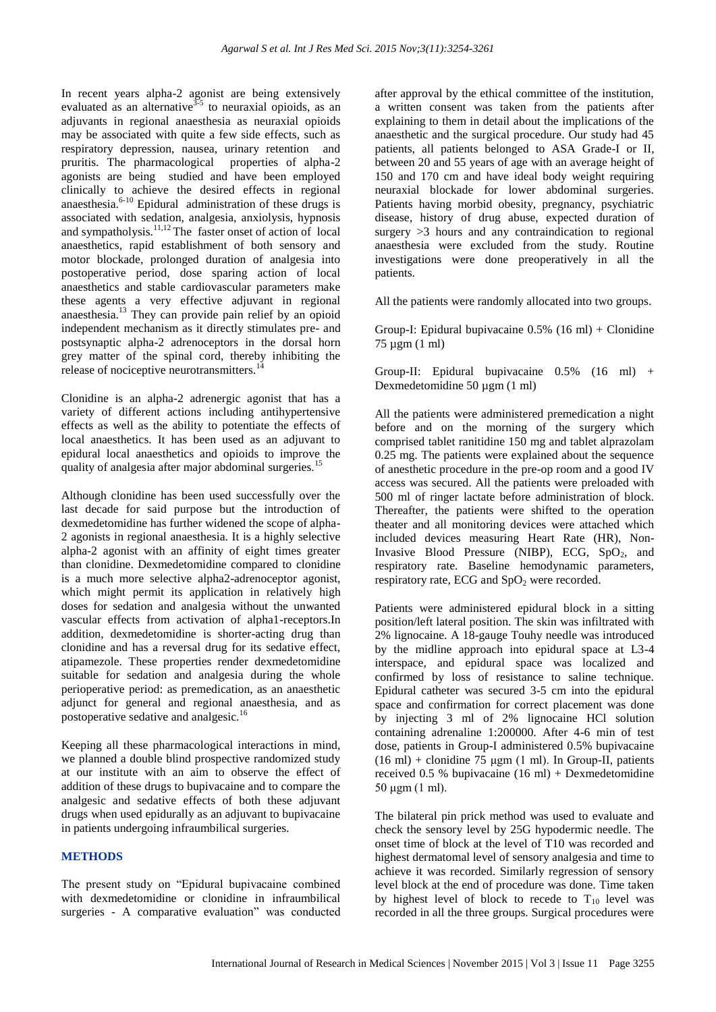In recent years alpha-2 agonist are being extensively evaluated as an alternative<sup>3-5</sup> to neuraxial opioids, as an adjuvants in regional anaesthesia as neuraxial opioids may be associated with quite a few side effects, such as respiratory depression, nausea, urinary retention and pruritis. The pharmacological properties of alpha-2 agonists are being studied and have been employed clinically to achieve the desired effects in regional anaesthesia. $6-10$  Epidural administration of these drugs is associated with sedation, analgesia, anxiolysis, hypnosis and sympatholysis.<sup>11,12</sup> The faster onset of action of local anaesthetics, rapid establishment of both sensory and motor blockade, prolonged duration of analgesia into postoperative period, dose sparing action of local anaesthetics and stable cardiovascular parameters make these agents a very effective adjuvant in regional anaesthesia. <sup>13</sup> They can provide pain relief by an opioid independent mechanism as it directly stimulates pre- and postsynaptic alpha-2 adrenoceptors in the dorsal horn grey matter of the spinal cord, thereby inhibiting the release of nociceptive neurotransmitters.<sup>1</sup>

Clonidine is an alpha-2 adrenergic agonist that has a variety of different actions including antihypertensive effects as well as the ability to potentiate the effects of local anaesthetics. It has been used as an adjuvant to epidural local anaesthetics and opioids to improve the quality of analgesia after major abdominal surgeries.<sup>15</sup>

Although clonidine has been used successfully over the last decade for said purpose but the introduction of dexmedetomidine has further widened the scope of alpha-2 agonists in regional anaesthesia. It is a highly selective alpha-2 agonist with an affinity of eight times greater than clonidine. Dexmedetomidine compared to clonidine is a much more selective alpha2-adrenoceptor agonist, which might permit its application in relatively high doses for sedation and analgesia without the unwanted vascular effects from activation of alpha1-receptors.In addition, dexmedetomidine is shorter-acting drug than clonidine and has a reversal drug for its sedative effect, atipamezole. These properties render dexmedetomidine suitable for sedation and analgesia during the whole perioperative period: as premedication, as an anaesthetic adjunct for general and regional anaesthesia, and as postoperative sedative and analgesic.<sup>16</sup>

Keeping all these pharmacological interactions in mind, we planned a double blind prospective randomized study at our institute with an aim to observe the effect of addition of these drugs to bupivacaine and to compare the analgesic and sedative effects of both these adjuvant drugs when used epidurally as an adjuvant to bupivacaine in patients undergoing infraumbilical surgeries.

#### **METHODS**

The present study on "Epidural bupivacaine combined with dexmedetomidine or clonidine in infraumbilical surgeries - A comparative evaluation" was conducted after approval by the ethical committee of the institution, a written consent was taken from the patients after explaining to them in detail about the implications of the anaesthetic and the surgical procedure. Our study had 45 patients, all patients belonged to ASA Grade-I or II, between 20 and 55 years of age with an average height of 150 and 170 cm and have ideal body weight requiring neuraxial blockade for lower abdominal surgeries. Patients having morbid obesity, pregnancy, psychiatric disease, history of drug abuse, expected duration of surgery  $>3$  hours and any contraindication to regional anaesthesia were excluded from the study. Routine investigations were done preoperatively in all the patients.

All the patients were randomly allocated into two groups.

Group-I: Epidural bupivacaine 0.5% (16 ml) + Clonidine 75 µgm (1 ml)

Group-II: Epidural bupivacaine 0.5% (16 ml) + Dexmedetomidine 50 µgm (1 ml)

All the patients were administered premedication a night before and on the morning of the surgery which comprised tablet ranitidine 150 mg and tablet alprazolam 0.25 mg. The patients were explained about the sequence of anesthetic procedure in the pre-op room and a good IV access was secured. All the patients were preloaded with 500 ml of ringer lactate before administration of block. Thereafter, the patients were shifted to the operation theater and all monitoring devices were attached which included devices measuring Heart Rate (HR), Non-Invasive Blood Pressure (NIBP), ECG,  $SpO<sub>2</sub>$ , and respiratory rate. Baseline hemodynamic parameters, respiratory rate, ECG and  $SpO<sub>2</sub>$  were recorded.

Patients were administered epidural block in a sitting position/left lateral position. The skin was infiltrated with 2% lignocaine. A 18-gauge Touhy needle was introduced by the midline approach into epidural space at L3-4 interspace, and epidural space was localized and confirmed by loss of resistance to saline technique. Epidural catheter was secured 3-5 cm into the epidural space and confirmation for correct placement was done by injecting 3 ml of 2% lignocaine HCl solution containing adrenaline 1:200000. After 4-6 min of test dose, patients in Group-I administered 0.5% bupivacaine (16 ml) + clonidine 75  $\mu$ gm (1 ml). In Group-II, patients received 0.5 % bupivacaine (16 ml) + Dexmedetomidine 50 μgm (1 ml).

The bilateral pin prick method was used to evaluate and check the sensory level by 25G hypodermic needle. The onset time of block at the level of T10 was recorded and highest dermatomal level of sensory analgesia and time to achieve it was recorded. Similarly regression of sensory level block at the end of procedure was done. Time taken by highest level of block to recede to  $T_{10}$  level was recorded in all the three groups. Surgical procedures were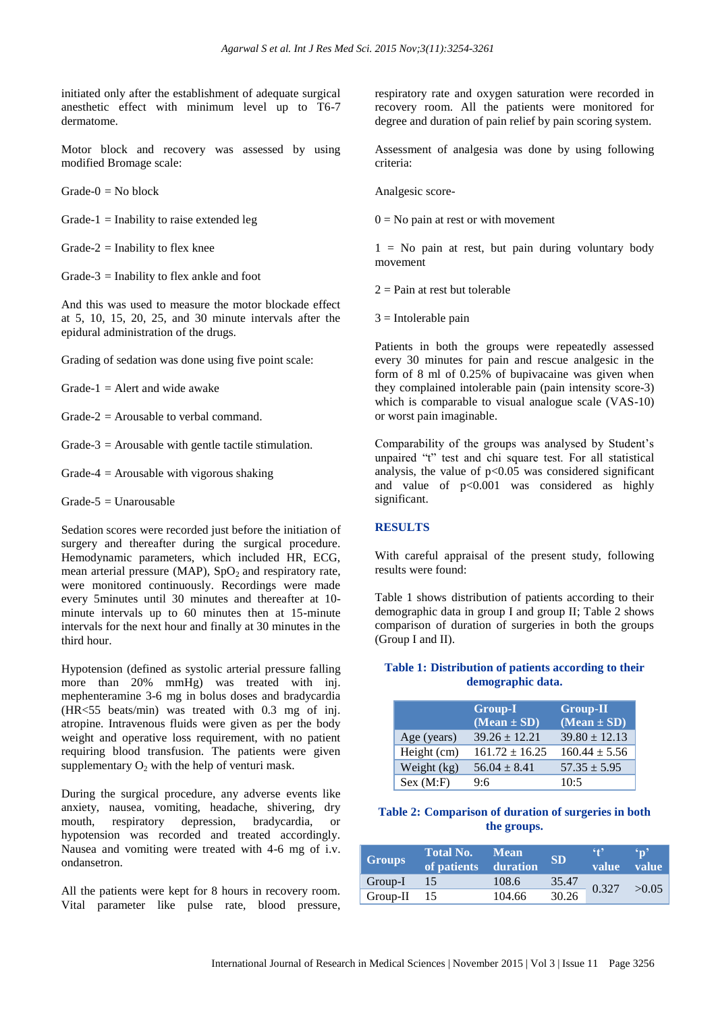initiated only after the establishment of adequate surgical anesthetic effect with minimum level up to T6-7 dermatome.

Motor block and recovery was assessed by using modified Bromage scale:

 $Grade-0 = No block$ 

Grade-1 = Inability to raise extended leg

Grade-2 = Inability to flex knee

Grade-3 = Inability to flex ankle and foot

And this was used to measure the motor blockade effect at 5, 10, 15, 20, 25, and 30 minute intervals after the epidural administration of the drugs.

Grading of sedation was done using five point scale:

Grade- $1 =$  Alert and wide awake

Grade-2 = Arousable to verbal command.

Grade-3 = Arousable with gentle tactile stimulation.

Grade-4  $=$  Arousable with vigorous shaking

 $Grade-5 = Unarousable$ 

Sedation scores were recorded just before the initiation of surgery and thereafter during the surgical procedure. Hemodynamic parameters, which included HR, ECG, mean arterial pressure (MAP),  $SpO<sub>2</sub>$  and respiratory rate, were monitored continuously. Recordings were made every 5minutes until 30 minutes and thereafter at 10 minute intervals up to 60 minutes then at 15-minute intervals for the next hour and finally at 30 minutes in the third hour.

Hypotension (defined as systolic arterial pressure falling more than 20% mmHg) was treated with inj. mephenteramine 3-6 mg in bolus doses and bradycardia (HR<55 beats/min) was treated with 0.3 mg of inj. atropine. Intravenous fluids were given as per the body weight and operative loss requirement, with no patient requiring blood transfusion. The patients were given supplementary  $O_2$  with the help of venturi mask.

During the surgical procedure, any adverse events like anxiety, nausea, vomiting, headache, shivering, dry mouth, respiratory depression, bradycardia, or hypotension was recorded and treated accordingly. Nausea and vomiting were treated with 4-6 mg of i.v. ondansetron.

All the patients were kept for 8 hours in recovery room. Vital parameter like pulse rate, blood pressure, respiratory rate and oxygen saturation were recorded in recovery room. All the patients were monitored for degree and duration of pain relief by pain scoring system.

Assessment of analgesia was done by using following criteria:

Analgesic score-

 $0 = No$  pain at rest or with movement

 $1 = No$  pain at rest, but pain during voluntary body movement

 $2 =$ Pain at rest but tolerable

 $3$  = Intolerable pain

Patients in both the groups were repeatedly assessed every 30 minutes for pain and rescue analgesic in the form of 8 ml of 0.25% of bupivacaine was given when they complained intolerable pain (pain intensity score-3) which is comparable to visual analogue scale (VAS-10) or worst pain imaginable.

Comparability of the groups was analysed by Student's unpaired "t" test and chi square test. For all statistical analysis, the value of  $p<0.05$  was considered significant and value of  $p<0.001$  was considered as highly significant.

#### **RESULTS**

With careful appraisal of the present study, following results were found:

Table 1 shows distribution of patients according to their demographic data in group I and group II; Table 2 shows comparison of duration of surgeries in both the groups (Group I and II).

#### **Table 1: Distribution of patients according to their demographic data.**

|             | <b>Group-I</b><br>$\overline{Mean}$ ± SD) | <b>Group-II</b><br>$(Mean \pm SD)$ |
|-------------|-------------------------------------------|------------------------------------|
| Age (years) | $39.26 \pm 12.21$                         | $39.80 \pm 12.13$                  |
| Height (cm) | $161.72 \pm 16.25$                        | $160.44 \pm 5.56$                  |
| Weight (kg) | $56.04 \pm 8.41$                          | $57.35 \pm 5.95$                   |
| Sex (M:F)   | 9.6                                       | 10:5                               |

#### **Table 2: Comparison of duration of surgeries in both the groups.**

| <b>Groups</b> | Total No.<br>of patients duration | <b>Mean</b> | <b>SD</b> | (4)<br>value | $^{\circ}$ n'<br><b>value</b> |
|---------------|-----------------------------------|-------------|-----------|--------------|-------------------------------|
| $Group-I$     | $\angle$ 157                      | 108.6       | 35.47     | 0.327        | >0.05                         |
| Group-II $15$ |                                   | 104.66      | 30.26     |              |                               |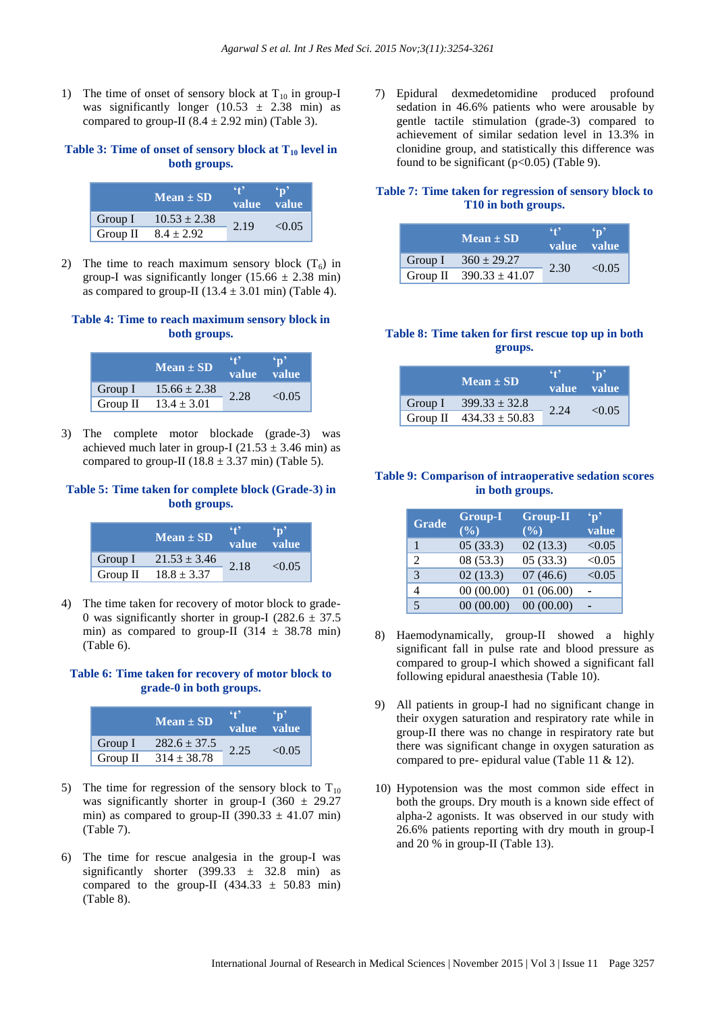1) The time of onset of sensory block at  $T_{10}$  in group-I was significantly longer  $(10.53 \pm 2.38 \text{ min})$  as compared to group-II  $(8.4 \pm 2.92 \text{ min})$  (Table 3).

## **Table 3: Time of onset of sensory block at T<sup>10</sup> level in both groups.**

|          | $Mean \pm SD$    | $\ddot{\bullet}$<br>value value |        |  |
|----------|------------------|---------------------------------|--------|--|
| Group I  | $10.53 \pm 2.38$ | 2.19                            |        |  |
| Group II | $8.4 \pm 2.92$   |                                 | < 0.05 |  |

2) The time to reach maximum sensory block  $(T_6)$  in group-I was significantly longer  $(15.66 \pm 2.38 \text{ min})$ as compared to group-II ( $13.4 \pm 3.01$  min) (Table 4).

## **Table 4: Time to reach maximum sensory block in both groups.**

|            | $Mean \pm SD$    | 642<br>value | $\sqrt{V}$<br><b>value</b> |  |
|------------|------------------|--------------|----------------------------|--|
| Group I    | $15.66 \pm 2.38$ | 2.28         | < 0.05                     |  |
| Group $II$ | $13.4 \pm 3.01$  |              |                            |  |

3) The complete motor blockade (grade-3) was achieved much later in group-I (21.53  $\pm$  3.46 min) as compared to group-II ( $18.8 \pm 3.37$  min) (Table 5).

## **Table 5: Time taken for complete block (Grade-3) in both groups.**

|          | $Mean \pm SD$    | 42<br>value | $\cdot$ n'<br><b>value</b> |  |
|----------|------------------|-------------|----------------------------|--|
| Group I  | $21.53 \pm 3.46$ | 2.18        |                            |  |
| Group II | $18.8 \pm 3.37$  |             | < 0.05                     |  |

4) The time taken for recovery of motor block to grade-0 was significantly shorter in group-I ( $282.6 \pm 37.5$ ) min) as compared to group-II (314  $\pm$  38.78 min) (Table 6).

## **Table 6: Time taken for recovery of motor block to grade-0 in both groups.**

|          | $Mean \pm SD$    | - 12<br>value | value  |  |
|----------|------------------|---------------|--------|--|
| Group I  | $282.6 \pm 37.5$ | 2.25          | < 0.05 |  |
| Group II | $314 \pm 38.78$  |               |        |  |

- 5) The time for regression of the sensory block to  $T_{10}$ was significantly shorter in group-I (360  $\pm$  29.27 min) as compared to group-II (390.33  $\pm$  41.07 min) (Table 7).
- 6) The time for rescue analgesia in the group-I was significantly shorter (399.33  $\pm$  32.8 min) as compared to the group-II  $(434.33 \pm 50.83 \text{ min})$ (Table 8).

7) Epidural dexmedetomidine produced profound sedation in 46.6% patients who were arousable by gentle tactile stimulation (grade-3) compared to achievement of similar sedation level in 13.3% in clonidine group, and statistically this difference was found to be significant  $(p<0.05)$  (Table 9).

## **Table 7: Time taken for regression of sensory block to T10 in both groups.**

|          | $Mean \pm SD$      | 649  | value value |
|----------|--------------------|------|-------------|
| Group I  | $360 \pm 29.27$    | 2.30 | < 0.05      |
| Group II | $390.33 \pm 41.07$ |      |             |

## **Table 8: Time taken for first rescue top up in both groups.**

|         | $Mean \pm SD$               | - 7  | $\cdot_{\mathbf{n}'}$<br>value value |
|---------|-----------------------------|------|--------------------------------------|
| Group I | $399.33 \pm 32.8$           | 2.24 | < 0.05                               |
|         | Group II $434.33 \pm 50.83$ |      |                                      |

## **Table 9: Comparison of intraoperative sedation scores in both groups.**

| <b>Grade</b>                | <b>Group-I</b><br>(%) | <b>Group-II</b><br>(%) | $\mathbf{p}$<br>value |
|-----------------------------|-----------------------|------------------------|-----------------------|
|                             | 05(33.3)              | 02(13.3)               | < 0.05                |
|                             |                       |                        |                       |
| $\mathcal{D}_{\mathcal{L}}$ | 08(53.3)              | 05(33.3)               | < 0.05                |
| 3                           | 02(13.3)              | 07(46.6)               | < 0.05                |
|                             | 00(00.00)             | 01(06.00)              |                       |
|                             | 00(00.00)             | 00(00.00)              |                       |

- 8) Haemodynamically, group-II showed a highly significant fall in pulse rate and blood pressure as compared to group-I which showed a significant fall following epidural anaesthesia (Table 10).
- 9) All patients in group-I had no significant change in their oxygen saturation and respiratory rate while in group-II there was no change in respiratory rate but there was significant change in oxygen saturation as compared to pre- epidural value (Table 11 & 12).
- 10) Hypotension was the most common side effect in both the groups. Dry mouth is a known side effect of alpha-2 agonists. It was observed in our study with 26.6% patients reporting with dry mouth in group-I and 20 % in group-II (Table 13).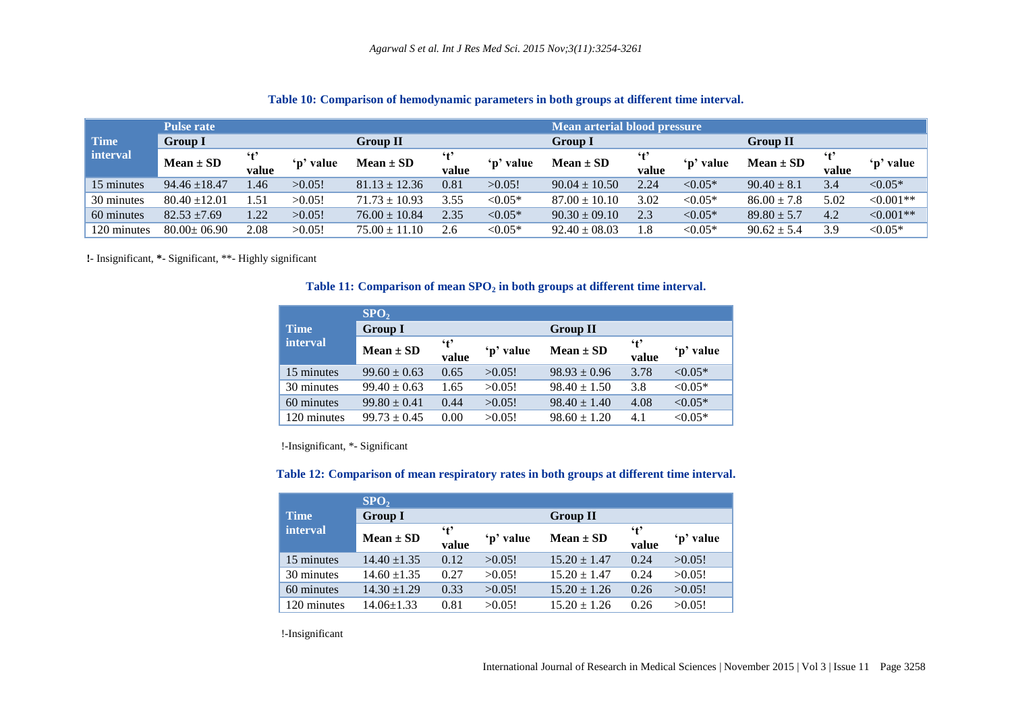|             | <b>Pulse rate</b> |                       |           |                   |              |                       | <b>Mean arterial blood pressure</b> |                       |           |                 |                       |            |
|-------------|-------------------|-----------------------|-----------|-------------------|--------------|-----------------------|-------------------------------------|-----------------------|-----------|-----------------|-----------------------|------------|
| <b>Time</b> | <b>Group I</b>    |                       |           | Group II          |              |                       | <b>Group I</b>                      |                       |           | <b>Group II</b> |                       |            |
| l interval  | $Mean \pm SD$     | $\mathbf{t}$<br>value | 'p' value | $Mean \pm SD$     | ʻt'<br>value | $\mathbf{p}$<br>value | $Mean \pm SD$                       | $\mathbf{f}$<br>value | 'p' value | $Mean \pm SD$   | $\mathbf{f}$<br>value | 'p' value  |
| 15 minutes  | $94.46 \pm 18.47$ | .46                   | >0.05!    | $81.13 \pm 12.36$ | 0.81         | >0.05!                | $90.04 \pm 10.50$                   | 2.24                  | $< 0.05*$ | $90.40 \pm 8.1$ | 3.4                   | $< 0.05*$  |
| 30 minutes  | $80.40 \pm 12.01$ | 1.51                  | >0.05!    | $71.73 \pm 10.93$ | 3.55         | $< 0.05*$             | $87.00 \pm 10.10$                   | 3.02                  | $< 0.05*$ | $86.00 \pm 7.8$ | 5.02                  | $<0.001**$ |
| 60 minutes  | $82.53 \pm 7.69$  | 1.22                  | >0.05!    | $76.00 \pm 10.84$ | 2.35         | $< 0.05*$             | $90.30 \pm 09.10$                   | 2.3                   | $< 0.05*$ | $89.80 \pm 5.7$ | 4.2                   | $<0.001**$ |
| 120 minutes | $80.00 \pm 06.90$ | 2.08                  | >0.05!    | $75.00 \pm 11.10$ | 2.6          | $< 0.05*$             | $92.40 \pm 08.03$                   | 1.8                   | $< 0.05*$ | $90.62 \pm 5.4$ | 3.9                   | ${<}0.05*$ |

#### **Table 10: Comparison of hemodynamic parameters in both groups at different time interval.**

**!**- Insignificant, **\***- Significant, \*\*- Highly significant

#### **Table 11: Comparison of mean SPO<sup>2</sup> in both groups at different time interval.**

|             | SPO <sub>2</sub> |                     |           |                  |                     |           |
|-------------|------------------|---------------------|-----------|------------------|---------------------|-----------|
| <b>Time</b> | <b>Group I</b>   |                     |           | <b>Group II</b>  |                     |           |
| interval    | $Mean \pm SD$    | $\cdot$ t'<br>value | 'p' value | $Mean \pm SD$    | $\cdot$ t'<br>value | 'p' value |
| 15 minutes  | $99.60 \pm 0.63$ | 0.65                | >0.05!    | $98.93 \pm 0.96$ | 3.78                | $< 0.05*$ |
| 30 minutes  | $99.40 \pm 0.63$ | 1.65                | >0.05!    | $98.40 \pm 1.50$ | 3.8                 | $< 0.05*$ |
| 60 minutes  | $99.80 \pm 0.41$ | 0.44                | >0.05!    | $98.40 \pm 1.40$ | 4.08                | $< 0.05*$ |
| 120 minutes | $99.73 \pm 0.45$ | 0.00                | >0.05!    | $98.60 \pm 1.20$ | 4.1                 | $< 0.05*$ |

!-Insignificant, \*- Significant

#### **Table 12: Comparison of mean respiratory rates in both groups at different time interval.**

|             | SPO <sub>2</sub> |              |           |                  |                     |           |
|-------------|------------------|--------------|-----------|------------------|---------------------|-----------|
| <b>Time</b> | <b>Group I</b>   |              |           | <b>Group II</b>  |                     |           |
| interval    | $Mean \pm SD$    | ʻt'<br>value | 'p' value | $Mean \pm SD$    | $\cdot$ t'<br>value | 'p' value |
| 15 minutes  | $14.40 \pm 1.35$ | 0.12         | >0.05!    | $15.20 \pm 1.47$ | 0.24                | >0.05!    |
| 30 minutes  | $14.60 \pm 1.35$ | 0.27         | >0.05!    | $15.20 + 1.47$   | 0.24                | >0.05!    |
| 60 minutes  | $14.30 \pm 1.29$ | 0.33         | >0.05!    | $15.20 + 1.26$   | 0.26                | >0.05!    |
| 120 minutes | 14.06+1.33       | 0.81         | >0.05!    | $15.20 + 1.26$   | 0.26                | >0.05!    |

!-Insignificant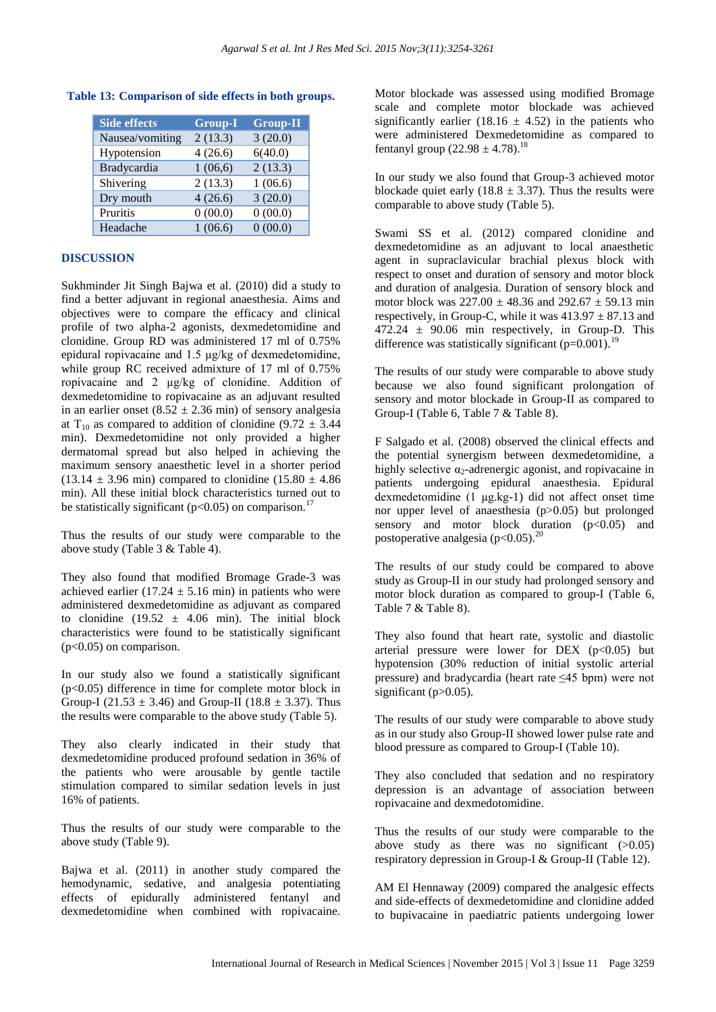| <b>Side effects</b> | <b>Group-I</b> | <b>Group-II</b> |
|---------------------|----------------|-----------------|
| Nausea/vomiting     | 2(13.3)        | 3(20.0)         |
| Hypotension         | 4(26.6)        | 6(40.0)         |
| Bradycardia         | 1(06,6)        | 2(13.3)         |
| Shivering           | 2(13.3)        | 1(06.6)         |
| Dry mouth           | 4(26.6)        | 3(20.0)         |
| Pruritis            | 0(00.0)        | 0(00.0)         |
| Headache            | 1(06.6)        | 0(00.0)         |

## **Table 13: Comparison of side effects in both groups.**

### **DISCUSSION**

Sukhminder Jit Singh Bajwa et al. (2010) did a study to find a better adjuvant in regional anaesthesia. Aims and objectives were to compare the efficacy and clinical profile of two alpha-2 agonists, dexmedetomidine and clonidine. Group RD was administered 17 ml of 0.75% epidural ropivacaine and 1.5 μg/kg of dexmedetomidine, while group RC received admixture of 17 ml of 0.75% ropivacaine and 2 μg/kg of clonidine. Addition of dexmedetomidine to ropivacaine as an adjuvant resulted in an earlier onset  $(8.52 \pm 2.36 \text{ min})$  of sensory analgesia at T<sub>10</sub> as compared to addition of clonidine (9.72  $\pm$  3.44 min). Dexmedetomidine not only provided a higher dermatomal spread but also helped in achieving the maximum sensory anaesthetic level in a shorter period  $(13.14 \pm 3.96 \text{ min})$  compared to clonidine  $(15.80 \pm 4.86 \text{ m})$ min). All these initial block characteristics turned out to be statistically significant ( $p<0.05$ ) on comparison.<sup>1</sup>

Thus the results of our study were comparable to the above study (Table 3 & Table 4).

They also found that modified Bromage Grade-3 was achieved earlier (17.24  $\pm$  5.16 min) in patients who were administered dexmedetomidine as adjuvant as compared to clonidine (19.52  $\pm$  4.06 min). The initial block characteristics were found to be statistically significant  $(p<0.05)$  on comparison.

In our study also we found a statistically significant (p<0.05) difference in time for complete motor block in Group-I (21.53  $\pm$  3.46) and Group-II (18.8  $\pm$  3.37). Thus the results were comparable to the above study (Table 5).

They also clearly indicated in their study that dexmedetomidine produced profound sedation in 36% of the patients who were arousable by gentle tactile stimulation compared to similar sedation levels in just 16% of patients.

Thus the results of our study were comparable to the above study (Table 9).

Bajwa et al. (2011) in another study compared the hemodynamic, sedative, and analgesia potentiating effects of epidurally administered fentanyl and dexmedetomidine when combined with ropivacaine. Motor blockade was assessed using modified Bromage scale and complete motor blockade was achieved significantly earlier (18.16  $\pm$  4.52) in the patients who were administered Dexmedetomidine as compared to fentanyl group  $(22.98 \pm 4.78)^{18}$ 

In our study we also found that Group-3 achieved motor blockade quiet early (18.8  $\pm$  3.37). Thus the results were comparable to above study (Table 5).

Swami SS et al. (2012) compared clonidine and dexmedetomidine as an adjuvant to local anaesthetic agent in supraclavicular brachial plexus block with respect to onset and duration of sensory and motor block and duration of analgesia. Duration of sensory block and motor block was  $227.00 \pm 48.36$  and  $292.67 \pm 59.13$  min respectively, in Group-C, while it was  $413.97 \pm 87.13$  and  $472.24 \pm 90.06$  min respectively, in Group-D. This difference was statistically significant  $(p=0.001)$ .<sup>19</sup>

The results of our study were comparable to above study because we also found significant prolongation of sensory and motor blockade in Group-II as compared to Group-I (Table 6, Table 7 & Table 8).

F Salgado et al. (2008) observed the clinical effects and the potential synergism between dexmedetomidine, a highly selective  $\alpha_2$ -adrenergic agonist, and ropivacaine in patients undergoing epidural anaesthesia. Epidural dexmedetomidine (1 μg.kg-1) did not affect onset time nor upper level of anaesthesia (p>0.05) but prolonged sensory and motor block duration  $(p<0.05)$  and postoperative analgesia  $(p<0.05)$ .<sup>20</sup>

The results of our study could be compared to above study as Group-II in our study had prolonged sensory and motor block duration as compared to group-I (Table 6, Table 7 & Table 8).

They also found that heart rate, systolic and diastolic arterial pressure were lower for DEX  $(p<0.05)$  but hypotension (30% reduction of initial systolic arterial pressure) and bradycardia (heart rate ≤45 bpm) were not significant  $(p>0.05)$ .

The results of our study were comparable to above study as in our study also Group-II showed lower pulse rate and blood pressure as compared to Group-I (Table 10).

They also concluded that sedation and no respiratory depression is an advantage of association between ropivacaine and dexmedotomidine.

Thus the results of our study were comparable to the above study as there was no significant  $(>0.05)$ respiratory depression in Group-I & Group-II (Table 12).

AM El Hennaway (2009) compared the analgesic effects and side-effects of dexmedetomidine and clonidine added to bupivacaine in paediatric patients undergoing lower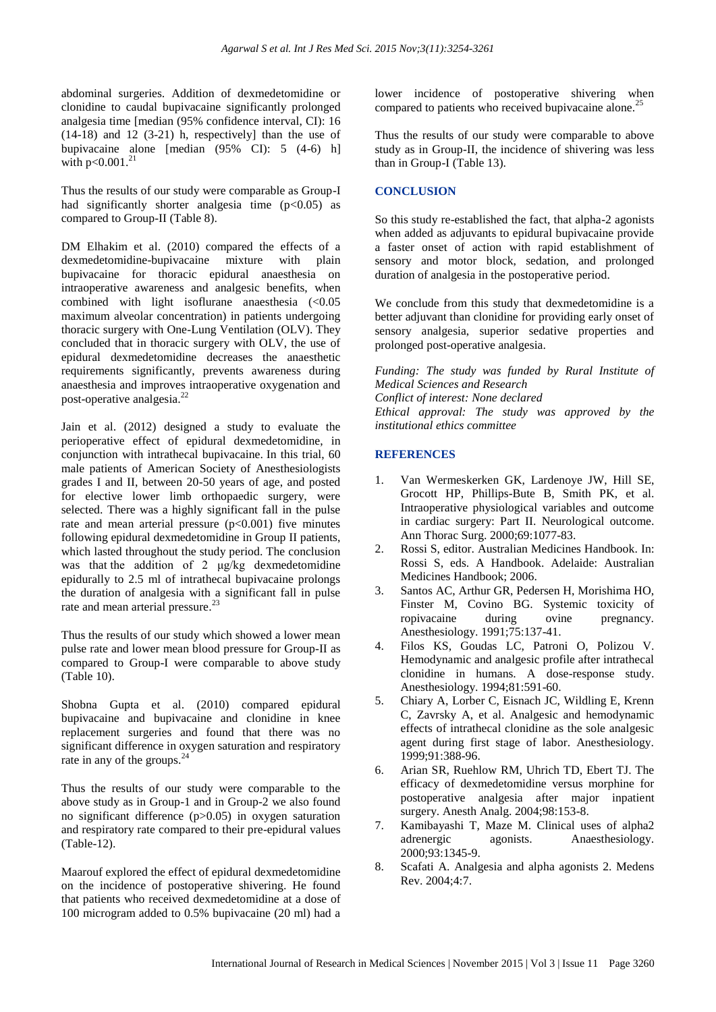abdominal surgeries. Addition of dexmedetomidine or clonidine to caudal bupivacaine significantly prolonged analgesia time [median (95% confidence interval, CI): 16  $(14-18)$  and  $12$   $(3-21)$  h, respectively] than the use of bupivacaine alone [median (95% CI): 5 (4-6) h] with  $p<0.001$ .<sup>21</sup>

Thus the results of our study were comparable as Group-I had significantly shorter analgesia time  $(p<0.05)$  as compared to Group-II (Table 8).

DM Elhakim et al. (2010) compared the effects of a dexmedetomidine-bupivacaine mixture with plain bupivacaine for thoracic epidural anaesthesia on intraoperative awareness and analgesic benefits, when combined with light isoflurane anaesthesia (<0.05 maximum alveolar concentration) in patients undergoing thoracic surgery with One-Lung Ventilation (OLV). They concluded that in thoracic surgery with OLV, the use of epidural dexmedetomidine decreases the anaesthetic requirements significantly, prevents awareness during anaesthesia and improves intraoperative oxygenation and post-operative analgesia.<sup>2</sup>

Jain et al. (2012) designed a study to evaluate the perioperative effect of epidural dexmedetomidine, in conjunction with intrathecal bupivacaine. In this trial, 60 male patients of American Society of Anesthesiologists grades I and II, between 20-50 years of age, and posted for elective lower limb orthopaedic surgery, were selected. There was a highly significant fall in the pulse rate and mean arterial pressure  $(p<0.001)$  five minutes following epidural dexmedetomidine in Group II patients, which lasted throughout the study period. The conclusion was that the addition of 2 μg/kg dexmedetomidine epidurally to 2.5 ml of intrathecal bupivacaine prolongs the duration of analgesia with a significant fall in pulse rate and mean arterial pressure.<sup>23</sup>

Thus the results of our study which showed a lower mean pulse rate and lower mean blood pressure for Group-II as compared to Group-I were comparable to above study (Table 10).

Shobna Gupta et al. (2010) compared epidural bupivacaine and bupivacaine and clonidine in knee replacement surgeries and found that there was no significant difference in oxygen saturation and respiratory rate in any of the groups. $^{24}$ 

Thus the results of our study were comparable to the above study as in Group-1 and in Group-2 we also found no significant difference (p>0.05) in oxygen saturation and respiratory rate compared to their pre-epidural values (Table-12).

Maarouf explored the effect of epidural dexmedetomidine on the incidence of postoperative shivering. He found that patients who received dexmedetomidine at a dose of 100 microgram added to 0.5% bupivacaine (20 ml) had a lower incidence of postoperative shivering when compared to patients who received bupivacaine alone.<sup>2</sup>

Thus the results of our study were comparable to above study as in Group-II, the incidence of shivering was less than in Group-I (Table 13).

### **CONCLUSION**

So this study re-established the fact, that alpha-2 agonists when added as adjuvants to epidural bupivacaine provide a faster onset of action with rapid establishment of sensory and motor block, sedation, and prolonged duration of analgesia in the postoperative period.

We conclude from this study that dexmedetomidine is a better adjuvant than clonidine for providing early onset of sensory analgesia, superior sedative properties and prolonged post-operative analgesia.

*Funding: The study was funded by Rural Institute of Medical Sciences and Research Conflict of interest: None declared Ethical approval: The study was approved by the institutional ethics committee*

#### **REFERENCES**

- 1. Van Wermeskerken GK, Lardenoye JW, Hill SE, Grocott HP, Phillips-Bute B, Smith PK, et al. Intraoperative physiological variables and outcome in cardiac surgery: Part II. Neurological outcome. Ann Thorac Surg. 2000;69:1077-83.
- 2. Rossi S, editor. Australian Medicines Handbook. In: Rossi S, eds. A Handbook. Adelaide: Australian Medicines Handbook; 2006.
- 3. Santos AC, Arthur GR, Pedersen H, Morishima HO, Finster M, Covino BG. Systemic toxicity of ropivacaine during ovine pregnancy. Anesthesiology. 1991;75:137-41.
- 4. Filos KS, Goudas LC, Patroni O, Polizou V. Hemodynamic and analgesic profile after intrathecal clonidine in humans. A dose-response study. Anesthesiology. 1994;81:591-60.
- 5. Chiary A, Lorber C, Eisnach JC, Wildling E, Krenn C, Zavrsky A, et al. Analgesic and hemodynamic effects of intrathecal clonidine as the sole analgesic agent during first stage of labor. Anesthesiology. 1999;91:388-96.
- 6. Arian SR, Ruehlow RM, Uhrich TD, Ebert TJ. The efficacy of dexmedetomidine versus morphine for postoperative analgesia after major inpatient surgery. Anesth Analg. 2004;98:153-8.
- 7. Kamibayashi T, Maze M. Clinical uses of alpha2 adrenergic agonists. Anaesthesiology. 2000;93:1345-9.
- 8. Scafati A. Analgesia and alpha agonists 2. Medens Rev. 2004;4:7.